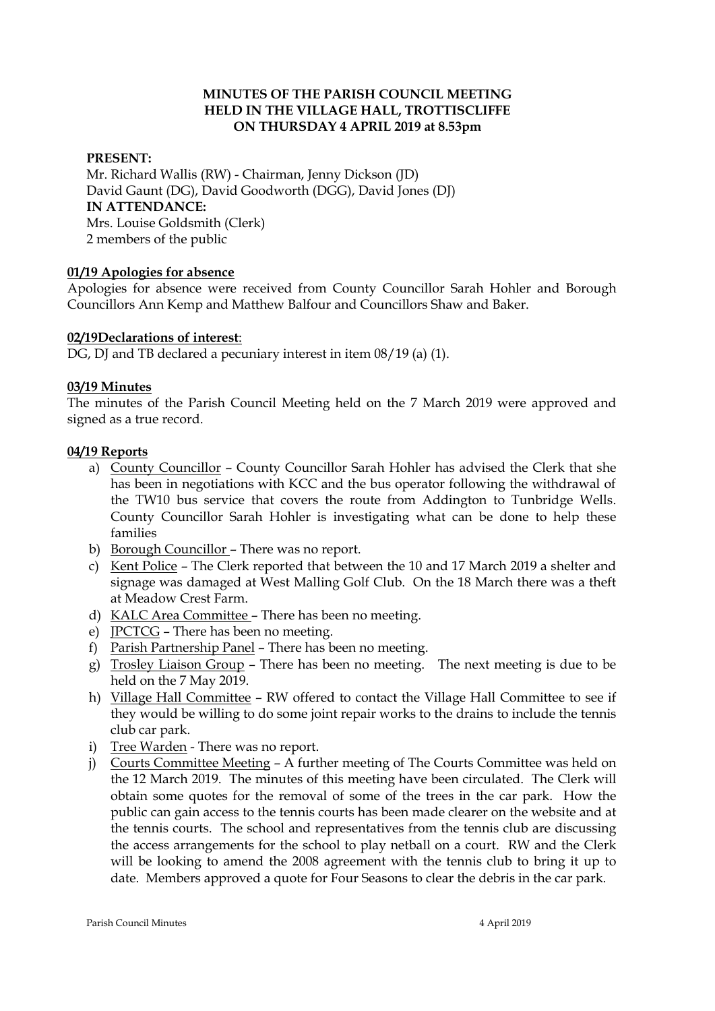## **MINUTES OF THE PARISH COUNCIL MEETING HELD IN THE VILLAGE HALL, TROTTISCLIFFE ON THURSDAY 4 APRIL 2019 at 8.53pm**

## **PRESENT:**

Mr. Richard Wallis (RW) - Chairman, Jenny Dickson (JD) David Gaunt (DG), David Goodworth (DGG), David Jones (DJ) **IN ATTENDANCE:**  Mrs. Louise Goldsmith (Clerk) 2 members of the public

## **01/19 Apologies for absence**

Apologies for absence were received from County Councillor Sarah Hohler and Borough Councillors Ann Kemp and Matthew Balfour and Councillors Shaw and Baker.

## **02/19Declarations of interest**:

DG, DJ and TB declared a pecuniary interest in item  $08/19$  (a) (1).

## **03/19 Minutes**

The minutes of the Parish Council Meeting held on the 7 March 2019 were approved and signed as a true record.

## **04/19 Reports**

- a) County Councillor County Councillor Sarah Hohler has advised the Clerk that she has been in negotiations with KCC and the bus operator following the withdrawal of the TW10 bus service that covers the route from Addington to Tunbridge Wells. County Councillor Sarah Hohler is investigating what can be done to help these families
- b) Borough Councillor There was no report.
- c) Kent Police The Clerk reported that between the 10 and 17 March 2019 a shelter and signage was damaged at West Malling Golf Club. On the 18 March there was a theft at Meadow Crest Farm.
- d) KALC Area Committee There has been no meeting.
- e) JPCTCG There has been no meeting.
- f) Parish Partnership Panel There has been no meeting.
- g) Trosley Liaison Group There has been no meeting. The next meeting is due to be held on the 7 May 2019.
- h) Village Hall Committee RW offered to contact the Village Hall Committee to see if they would be willing to do some joint repair works to the drains to include the tennis club car park.
- i) Tree Warden There was no report.
- j) Courts Committee Meeting A further meeting of The Courts Committee was held on the 12 March 2019. The minutes of this meeting have been circulated. The Clerk will obtain some quotes for the removal of some of the trees in the car park. How the public can gain access to the tennis courts has been made clearer on the website and at the tennis courts. The school and representatives from the tennis club are discussing the access arrangements for the school to play netball on a court. RW and the Clerk will be looking to amend the 2008 agreement with the tennis club to bring it up to date. Members approved a quote for Four Seasons to clear the debris in the car park.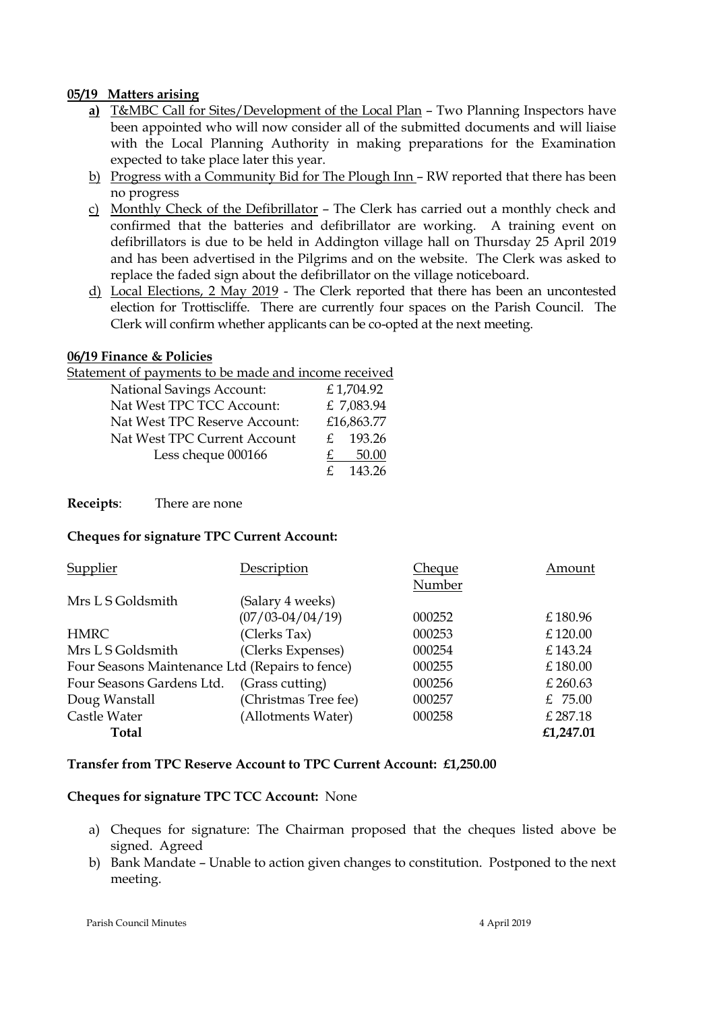## **05/19 Matters arising**

- **a)** T&MBC Call for Sites/Development of the Local Plan Two Planning Inspectors have been appointed who will now consider all of the submitted documents and will liaise with the Local Planning Authority in making preparations for the Examination expected to take place later this year.
- b) Progress with a Community Bid for The Plough Inn RW reported that there has been no progress
- c) Monthly Check of the Defibrillator The Clerk has carried out a monthly check and confirmed that the batteries and defibrillator are working. A training event on defibrillators is due to be held in Addington village hall on Thursday 25 April 2019 and has been advertised in the Pilgrims and on the website. The Clerk was asked to replace the faded sign about the defibrillator on the village noticeboard.
- d) Local Elections, 2 May 2019 The Clerk reported that there has been an uncontested election for Trottiscliffe. There are currently four spaces on the Parish Council. The Clerk will confirm whether applicants can be co-opted at the next meeting.

## **06/19 Finance & Policies**

Statement of payments to be made and income received

| <b>National Savings Account:</b> | £1,704.92             |
|----------------------------------|-----------------------|
| Nat West TPC TCC Account:        | £ 7,083.94            |
| Nat West TPC Reserve Account:    | £16,863.77            |
| Nat West TPC Current Account     | 193.26<br>$f_{\cdot}$ |
| Less cheque 000166               | 50.00                 |
|                                  | 143.26<br>£           |

## **Receipts**: There are none

#### **Cheques for signature TPC Current Account:**

| Supplier                                        | Description          | Cheque | Amount    |
|-------------------------------------------------|----------------------|--------|-----------|
|                                                 |                      | Number |           |
| Mrs L S Goldsmith                               | (Salary 4 weeks)     |        |           |
|                                                 | $(07/03 - 04/04/19)$ | 000252 | £180.96   |
| <b>HMRC</b>                                     | (Clerks Tax)         | 000253 | £120.00   |
| Mrs L S Goldsmith                               | (Clerks Expenses)    | 000254 | £143.24   |
| Four Seasons Maintenance Ltd (Repairs to fence) |                      | 000255 | £180.00   |
| Four Seasons Gardens Ltd.                       | (Grass cutting)      | 000256 | £ 260.63  |
| Doug Wanstall                                   | (Christmas Tree fee) | 000257 | £ $75.00$ |
| Castle Water                                    | (Allotments Water)   | 000258 | £287.18   |
| Total                                           |                      |        | £1,247.01 |

#### **Transfer from TPC Reserve Account to TPC Current Account: £1,250.00**

#### **Cheques for signature TPC TCC Account:** None

- a) Cheques for signature: The Chairman proposed that the cheques listed above be signed. Agreed
- b) Bank Mandate Unable to action given changes to constitution. Postponed to the next meeting.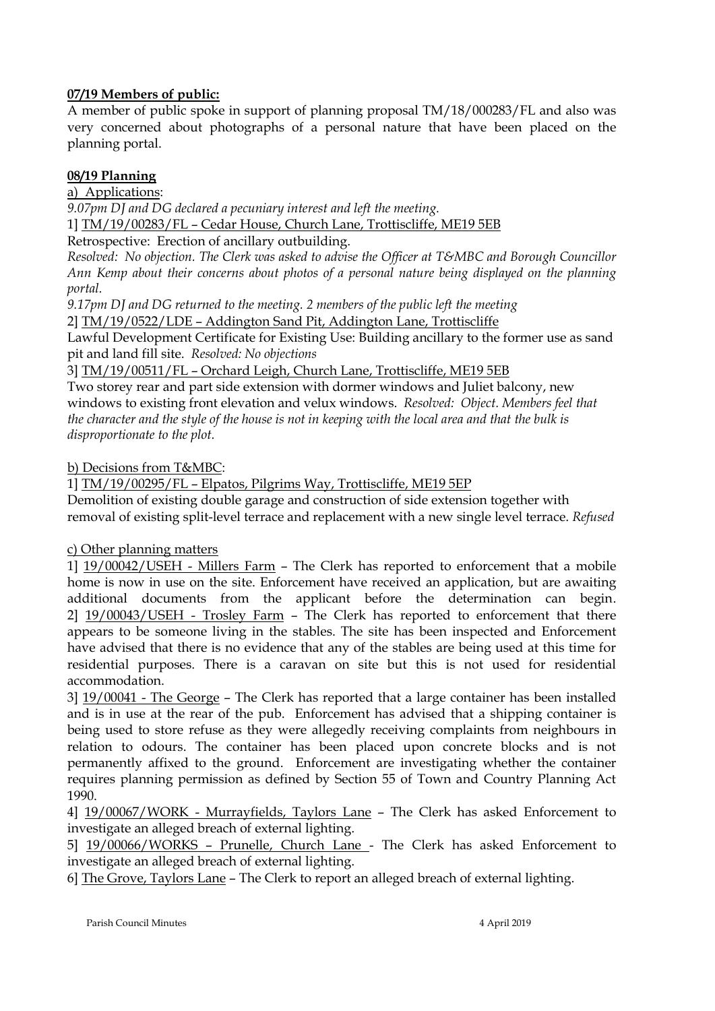# **07/19 Members of public:**

A member of public spoke in support of planning proposal TM/18/000283/FL and also was very concerned about photographs of a personal nature that have been placed on the planning portal.

# **08/19 Planning**

a) Applications:

*9.07pm DJ and DG declared a pecuniary interest and left the meeting.* 1] TM/19/00283/FL – Cedar House, Church Lane, Trottiscliffe, ME19 5EB

Retrospective: Erection of ancillary outbuilding.

*Resolved: No objection. The Clerk was asked to advise the Officer at T&MBC and Borough Councillor Ann Kemp about their concerns about photos of a personal nature being displayed on the planning portal.*

*9.17pm DJ and DG returned to the meeting. 2 members of the public left the meeting*

2] TM/19/0522/LDE – Addington Sand Pit, Addington Lane, Trottiscliffe

Lawful Development Certificate for Existing Use: Building ancillary to the former use as sand pit and land fill site. *Resolved: No objections*

3] TM/19/00511/FL – Orchard Leigh, Church Lane, Trottiscliffe, ME19 5EB

Two storey rear and part side extension with dormer windows and Juliet balcony, new windows to existing front elevation and velux windows. *Resolved: Object. Members feel that the character and the style of the house is not in keeping with the local area and that the bulk is disproportionate to the plot.*

b) Decisions from T&MBC:

1] TM/19/00295/FL – Elpatos, Pilgrims Way, Trottiscliffe, ME19 5EP

Demolition of existing double garage and construction of side extension together with removal of existing split-level terrace and replacement with a new single level terrace. *Refused*

c) Other planning matters

1] 19/00042/USEH - Millers Farm – The Clerk has reported to enforcement that a mobile home is now in use on the site. Enforcement have received an application, but are awaiting additional documents from the applicant before the determination can begin. 2] 19/00043/USEH - Trosley Farm – The Clerk has reported to enforcement that there appears to be someone living in the stables. The site has been inspected and Enforcement have advised that there is no evidence that any of the stables are being used at this time for residential purposes. There is a caravan on site but this is not used for residential accommodation.

3] 19/00041 - The George – The Clerk has reported that a large container has been installed and is in use at the rear of the pub. Enforcement has advised that a shipping container is being used to store refuse as they were allegedly receiving complaints from neighbours in relation to odours. The container has been placed upon concrete blocks and is not permanently affixed to the ground. Enforcement are investigating whether the container requires planning permission as defined by Section 55 of Town and Country Planning Act 1990.

4] 19/00067/WORK - Murrayfields, Taylors Lane – The Clerk has asked Enforcement to investigate an alleged breach of external lighting.

5] 19/00066/WORKS – Prunelle, Church Lane - The Clerk has asked Enforcement to investigate an alleged breach of external lighting.

6] The Grove, Taylors Lane – The Clerk to report an alleged breach of external lighting.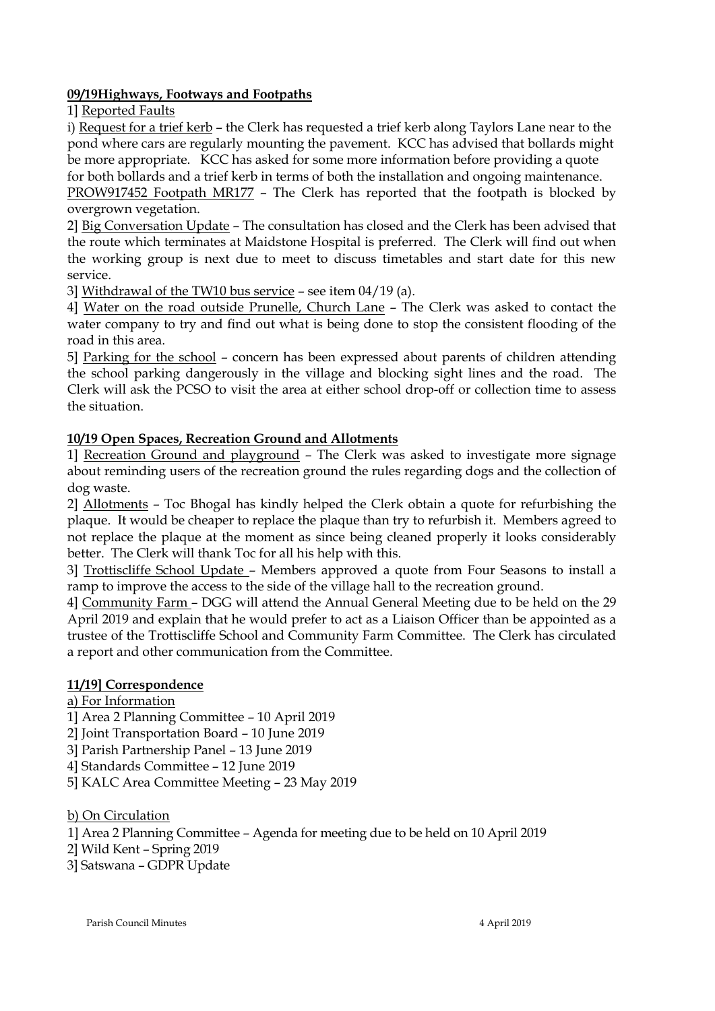## **09/19Highways, Footways and Footpaths**

1] Reported Faults

i) Request for a trief kerb – the Clerk has requested a trief kerb along Taylors Lane near to the pond where cars are regularly mounting the pavement. KCC has advised that bollards might be more appropriate. KCC has asked for some more information before providing a quote for both bollards and a trief kerb in terms of both the installation and ongoing maintenance.

PROW917452 Footpath MR177 – The Clerk has reported that the footpath is blocked by overgrown vegetation.

2] Big Conversation Update – The consultation has closed and the Clerk has been advised that the route which terminates at Maidstone Hospital is preferred. The Clerk will find out when the working group is next due to meet to discuss timetables and start date for this new service.

3] Withdrawal of the TW10 bus service – see item 04/19 (a).

4] Water on the road outside Prunelle, Church Lane – The Clerk was asked to contact the water company to try and find out what is being done to stop the consistent flooding of the road in this area.

5] Parking for the school – concern has been expressed about parents of children attending the school parking dangerously in the village and blocking sight lines and the road. The Clerk will ask the PCSO to visit the area at either school drop-off or collection time to assess the situation.

# **10/19 Open Spaces, Recreation Ground and Allotments**

1] Recreation Ground and playground – The Clerk was asked to investigate more signage about reminding users of the recreation ground the rules regarding dogs and the collection of dog waste.

2] Allotments – Toc Bhogal has kindly helped the Clerk obtain a quote for refurbishing the plaque. It would be cheaper to replace the plaque than try to refurbish it. Members agreed to not replace the plaque at the moment as since being cleaned properly it looks considerably better. The Clerk will thank Toc for all his help with this.

3] Trottiscliffe School Update – Members approved a quote from Four Seasons to install a ramp to improve the access to the side of the village hall to the recreation ground.

4] Community Farm – DGG will attend the Annual General Meeting due to be held on the 29 April 2019 and explain that he would prefer to act as a Liaison Officer than be appointed as a trustee of the Trottiscliffe School and Community Farm Committee. The Clerk has circulated a report and other communication from the Committee.

## **11/19] Correspondence**

a) For Information

1] Area 2 Planning Committee – 10 April 2019

2] Joint Transportation Board – 10 June 2019

3] Parish Partnership Panel – 13 June 2019

4] Standards Committee – 12 June 2019

5] KALC Area Committee Meeting – 23 May 2019

## b) On Circulation

1] Area 2 Planning Committee – Agenda for meeting due to be held on 10 April 2019

- 2] Wild Kent Spring 2019
- 3] Satswana GDPR Update